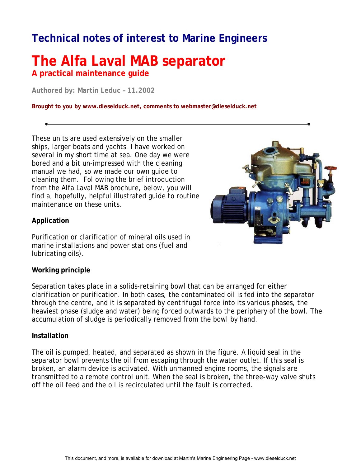## **Technical notes of interest to Marine Engineers**

### **The Alfa Laval MAB separator A practical maintenance guide**

**Authored by: Martin Leduc – 11.2002**

**Brought to you by www.dieselduck.net, comments to webmaster@dieselduck.net**

These units are used extensively on the smaller ships, larger boats and yachts. I have worked on several in my short time at sea. One day we were bored and a bit un-impressed with the cleaning manual we had, so we made our own guide to cleaning them. Following the brief introduction from the Alfa Laval MAB brochure, below, you will find a, hopefully, helpful illustrated guide to routine maintenance on these units.



#### **Application**

Purification or clarification of mineral oils used in marine installations and power stations (fuel and lubricating oils).

#### **Working principle**

Separation takes place in a solids-retaining bowl that can be arranged for either clarification or purification. In both cases, the contaminated oil is fed into the separator through the centre, and it is separated by centrifugal force into its various phases, the heaviest phase (sludge and water) being forced outwards to the periphery of the bowl. The accumulation of sludge is periodically removed from the bowl by hand.

#### **Installation**

The oil is pumped, heated, and separated as shown in the figure. A liquid seal in the separator bowl prevents the oil from escaping through the water outlet. If this seal is broken, an alarm device is activated. With unmanned engine rooms, the signals are transmitted to a remote control unit. When the seal is broken, the three-way valve shuts off the oil feed and the oil is recirculated until the fault is corrected.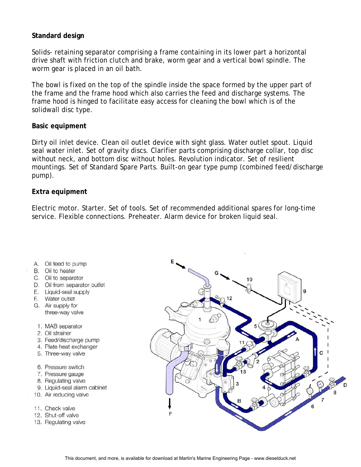#### **Standard design**

Solids- retaining separator comprising a frame containing in its lower part a horizontal drive shaft with friction clutch and brake, worm gear and a vertical bowl spindle. The worm gear is placed in an oil bath.

The bowl is fixed on the top of the spindle inside the space formed by the upper part of the frame and the frame hood which also carries the feed and discharge systems. The frame hood is hinged to facilitate easy access for cleaning the bowl which is of the solidwall disc type.

#### **Basic equipment**

Dirty oil inlet device. Clean oil outlet device with sight glass. Water outlet spout. Liquid seal water inlet. Set of gravity discs. Clarifier parts comprising discharge collar, top disc without neck, and bottom disc without holes. Revolution indicator. Set of resilient mountings. Set of Standard Spare Parts. Built-on gear type pump (combined feed/discharge pump).

#### **Extra equipment**

Electric motor. Starter. Set of tools. Set of recommended additional spares for long-time service. Flexible connections. Preheater. Alarm device for broken liquid seal.

- A. Oil feed to pump
- B. Oil to heater
- C. Oil to separator
- D. Oil from separator outlet
- E. Liquid-seal supply
- F. Water outlet
- G. Air supply for three-way valve
- 1. MAB separator
- 2. Oil strainer
- 3. Feed/discharge pump
- 4. Plate heat exchanger
- 5. Three-way valve
- 6. Pressure switch
- 7. Pressure gauge
- 8. Regulating valve
- 9. Liquid-seal alarm cabinet
- 10. Air reducing valve
- 11. Check valve
- 12. Shut-off valve
- 13. Regulating valve

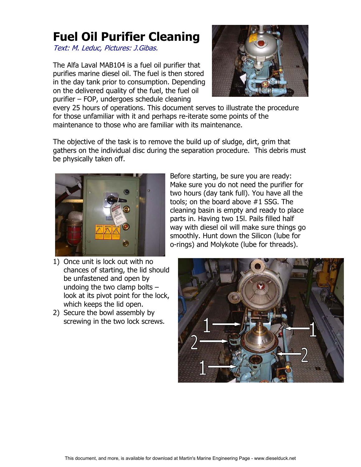# **Fuel Oil Purifier Cleaning**

Text: M. Leduc, Pictures: J.Gibas.

The Alfa Laval MAB104 is a fuel oil purifier that purifies marine diesel oil. The fuel is then stored in the day tank prior to consumption. Depending on the delivered quality of the fuel, the fuel oil purifier – FOP, undergoes schedule cleaning



every 25 hours of operations. This document serves to illustrate the procedure for those unfamiliar with it and perhaps re-iterate some points of the maintenance to those who are familiar with its maintenance.

The objective of the task is to remove the build up of sludge, dirt, grim that gathers on the individual disc during the separation procedure. This debris must be physically taken off.



Before starting, be sure you are ready: Make sure you do not need the purifier for two hours (day tank full). You have all the tools; on the board above #1 SSG. The cleaning basin is empty and ready to place parts in. Having two 15l. Pails filled half way with diesel oil will make sure things go smoothly. Hunt down the Silicon (lube for o-rings) and Molykote (lube for threads).

- 1) Once unit is lock out with no chances of starting, the lid should be unfastened and open by undoing the two clamp bolts – look at its pivot point for the lock, which keeps the lid open.
- 2) Secure the bowl assembly by screwing in the two lock screws.

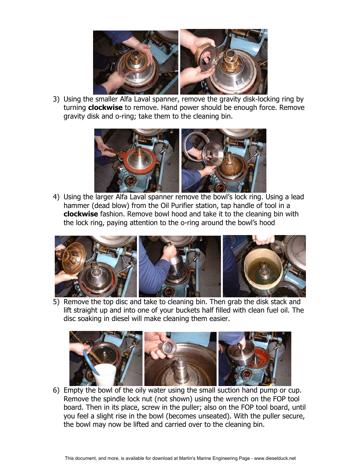

3) Using the smaller Alfa Laval spanner, remove the gravity disk-locking ring by turning **clockwise** to remove. Hand power should be enough force. Remove gravity disk and o-ring; take them to the cleaning bin.



4) Using the larger Alfa Laval spanner remove the bowl's lock ring. Using a lead hammer (dead blow) from the Oil Purifier station, tap handle of tool in a **clockwise** fashion. Remove bowl hood and take it to the cleaning bin with the lock ring, paying attention to the o-ring around the bowl's hood



5) Remove the top disc and take to cleaning bin. Then grab the disk stack and lift straight up and into one of your buckets half filled with clean fuel oil. The disc soaking in diesel will make cleaning them easier.



6) Empty the bowl of the oily water using the small suction hand pump or cup. Remove the spindle lock nut (not shown) using the wrench on the FOP tool board. Then in its place, screw in the puller; also on the FOP tool board, until you feel a slight rise in the bowl (becomes unseated). With the puller secure, the bowl may now be lifted and carried over to the cleaning bin.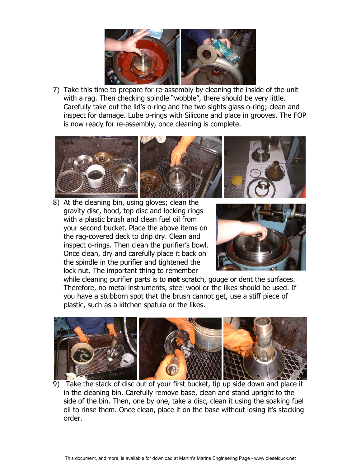

7) Take this time to prepare for re-assembly by cleaning the inside of the unit with a rag. Then checking spindle "wobble", there should be very little. Carefully take out the lid's o-ring and the two sights glass o-ring; clean and inspect for damage. Lube o-rings with Silicone and place in grooves. The FOP is now ready for re-assembly, once cleaning is complete.



8) At the cleaning bin, using gloves; clean the gravity disc, hood, top disc and locking rings with a plastic brush and clean fuel oil from your second bucket. Place the above items on the rag-covered deck to drip dry. Clean and inspect o-rings. Then clean the purifier's bowl. Once clean, dry and carefully place it back on the spindle in the purifier and tightened the lock nut. The important thing to remember



while cleaning purifier parts is to **not** scratch, gouge or dent the surfaces. Therefore, no metal instruments, steel wool or the likes should be used. If you have a stubborn spot that the brush cannot get, use a stiff piece of plastic, such as a kitchen spatula or the likes.



9) Take the stack of disc out of your first bucket, tip up side down and place it in the cleaning bin. Carefully remove base, clean and stand upright to the side of the bin. Then, one by one, take a disc, clean it using the soaking fuel oil to rinse them. Once clean, place it on the base without losing it's stacking order.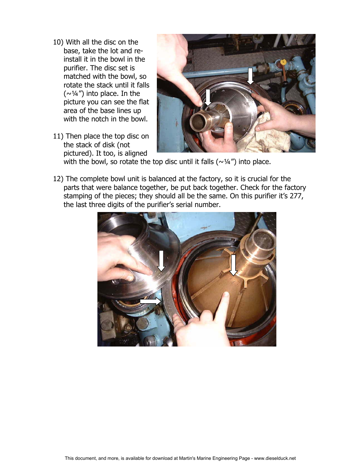- 10) With all the disc on the base, take the lot and reinstall it in the bowl in the purifier. The disc set is matched with the bowl, so rotate the stack until it falls  $(\sim\frac{1}{4})$  into place. In the picture you can see the flat area of the base lines up with the notch in the bowl.
- 11) Then place the top disc on the stack of disk (not pictured). It too, is aligned



with the bowl, so rotate the top disc until it falls ( $\sim$ 1/4") into place.

12) The complete bowl unit is balanced at the factory, so it is crucial for the parts that were balance together, be put back together. Check for the factory stamping of the pieces; they should all be the same. On this purifier it's 277, the last three digits of the purifier's serial number.